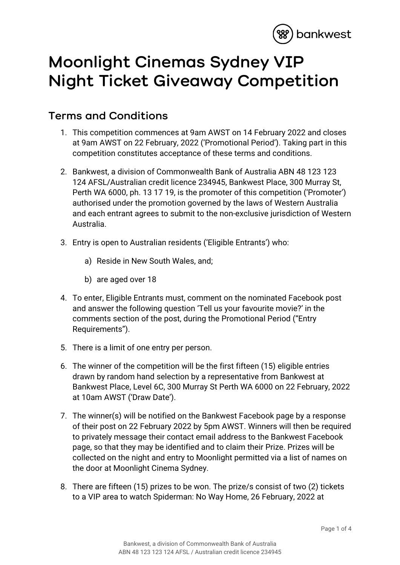

## **Moonlight Cinemas Sydney VIP Night Ticket Giveaway Competition**

## **Terms and Conditions**

- 1. This competition commences at 9am AWST on 14 February 2022 and closes at 9am AWST on 22 February, 2022 ('Promotional Period'). Taking part in this competition constitutes acceptance of these terms and conditions.
- 2. Bankwest, a division of Commonwealth Bank of Australia ABN 48 123 123 124 AFSL/Australian credit licence 234945, Bankwest Place, 300 Murray St, Perth WA 6000, ph. 13 17 19, is the promoter of this competition ('Promoter') authorised under the promotion governed by the laws of Western Australia and each entrant agrees to submit to the non-exclusive jurisdiction of Western Australia.
- 3. Entry is open to Australian residents ('Eligible Entrants') who:
	- a) Reside in New South Wales, and;
	- b) are aged over 18
- 4. To enter, Eligible Entrants must, comment on the nominated Facebook post and answer the following question 'Tell us your favourite movie?' in the comments section of the post, during the Promotional Period ("Entry Requirements").
- 5. There is a limit of one entry per person.
- 6. The winner of the competition will be the first fifteen (15) eligible entries drawn by random hand selection by a representative from Bankwest at Bankwest Place, Level 6C, 300 Murray St Perth WA 6000 on 22 February, 2022 at 10am AWST ('Draw Date').
- 7. The winner(s) will be notified on the Bankwest Facebook page by a response of their post on 22 February 2022 by 5pm AWST. Winners will then be required to privately message their contact email address to the Bankwest Facebook page, so that they may be identified and to claim their Prize. Prizes will be collected on the night and entry to Moonlight permitted via a list of names on the door at Moonlight Cinema Sydney.
- 8. There are fifteen (15) prizes to be won. The prize/s consist of two (2) tickets to a VIP area to watch Spiderman: No Way Home, 26 February, 2022 at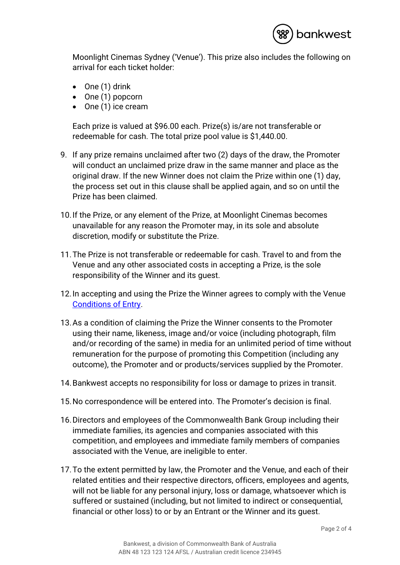

Moonlight Cinemas Sydney ('Venue'). This prize also includes the following on arrival for each ticket holder:

- One (1) drink
- One (1) popcorn
- One (1) ice cream

Each prize is valued at \$96.00 each. Prize(s) is/are not transferable or redeemable for cash. The total prize pool value is \$1,440.00.

- 9. If any prize remains unclaimed after two (2) days of the draw, the Promoter will conduct an unclaimed prize draw in the same manner and place as the original draw. If the new Winner does not claim the Prize within one (1) day, the process set out in this clause shall be applied again, and so on until the Prize has been claimed.
- 10.If the Prize, or any element of the Prize, at Moonlight Cinemas becomes unavailable for any reason the Promoter may, in its sole and absolute discretion, modify or substitute the Prize.
- 11.The Prize is not transferable or redeemable for cash. Travel to and from the Venue and any other associated costs in accepting a Prize, is the sole responsibility of the Winner and its guest.
- 12.In accepting and using the Prize the Winner agrees to comply with the Venue [Conditions of Entry.](https://www.moonlight.com.au/terms-of-sale)
- 13.As a condition of claiming the Prize the Winner consents to the Promoter using their name, likeness, image and/or voice (including photograph, film and/or recording of the same) in media for an unlimited period of time without remuneration for the purpose of promoting this Competition (including any outcome), the Promoter and or products/services supplied by the Promoter.
- 14.Bankwest accepts no responsibility for loss or damage to prizes in transit.
- 15.No correspondence will be entered into. The Promoter's decision is final.
- 16.Directors and employees of the Commonwealth Bank Group including their immediate families, its agencies and companies associated with this competition, and employees and immediate family members of companies associated with the Venue, are ineligible to enter.
- 17.To the extent permitted by law, the Promoter and the Venue, and each of their related entities and their respective directors, officers, employees and agents, will not be liable for any personal injury, loss or damage, whatsoever which is suffered or sustained (including, but not limited to indirect or consequential, financial or other loss) to or by an Entrant or the Winner and its guest.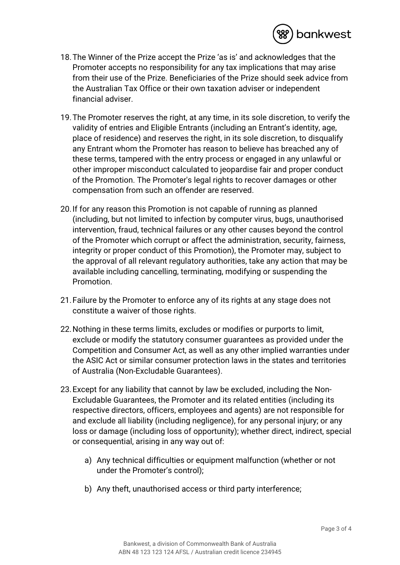

- 18.The Winner of the Prize accept the Prize 'as is' and acknowledges that the Promoter accepts no responsibility for any tax implications that may arise from their use of the Prize. Beneficiaries of the Prize should seek advice from the Australian Tax Office or their own taxation adviser or independent financial adviser.
- 19.The Promoter reserves the right, at any time, in its sole discretion, to verify the validity of entries and Eligible Entrants (including an Entrant's identity, age, place of residence) and reserves the right, in its sole discretion, to disqualify any Entrant whom the Promoter has reason to believe has breached any of these terms, tampered with the entry process or engaged in any unlawful or other improper misconduct calculated to jeopardise fair and proper conduct of the Promotion. The Promoter's legal rights to recover damages or other compensation from such an offender are reserved.
- 20.If for any reason this Promotion is not capable of running as planned (including, but not limited to infection by computer virus, bugs, unauthorised intervention, fraud, technical failures or any other causes beyond the control of the Promoter which corrupt or affect the administration, security, fairness, integrity or proper conduct of this Promotion), the Promoter may, subject to the approval of all relevant regulatory authorities, take any action that may be available including cancelling, terminating, modifying or suspending the Promotion.
- 21.Failure by the Promoter to enforce any of its rights at any stage does not constitute a waiver of those rights.
- 22.Nothing in these terms limits, excludes or modifies or purports to limit, exclude or modify the statutory consumer guarantees as provided under the Competition and Consumer Act, as well as any other implied warranties under the ASIC Act or similar consumer protection laws in the states and territories of Australia (Non-Excludable Guarantees).
- 23.Except for any liability that cannot by law be excluded, including the Non-Excludable Guarantees, the Promoter and its related entities (including its respective directors, officers, employees and agents) are not responsible for and exclude all liability (including negligence), for any personal injury; or any loss or damage (including loss of opportunity); whether direct, indirect, special or consequential, arising in any way out of:
	- a) Any technical difficulties or equipment malfunction (whether or not under the Promoter's control);
	- b) Any theft, unauthorised access or third party interference;